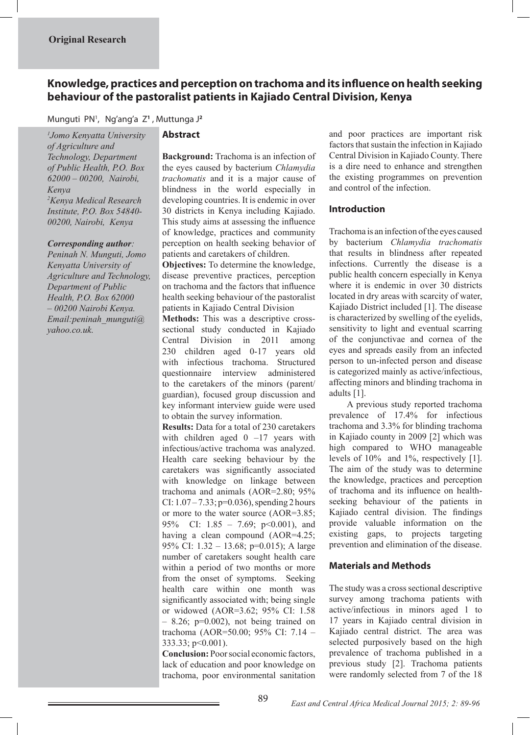# **Knowledge, practices and perception on trachoma and its influence on health seeking behaviour of the pastoralist patients in Kajiado Central Division, Kenya**

# Munguti PN1 ,Ng'ang'a Z**<sup>1</sup>** , Muttunga J**<sup>2</sup>**

*1 Jomo Kenyatta University of Agriculture and Technology, Department of Public Health, P.O. Box 62000 – 00200, Nairobi, Kenya 2 Kenya Medical Research Institute, P.O. Box 54840- 00200, Nairobi, Kenya* 

#### *Corresponding author:*

*Peninah N. Munguti, Jomo Kenyatta University of Agriculture and Technology, Department of Public Health, P.O. Box 62000 – 00200 Nairobi Kenya. Email:peninah\_munguti@ yahoo.co.uk.*

### **Abstract**

**Background:** Trachoma is an infection of the eyes caused by bacterium *Chlamydia trachomatis* and it is a major cause of blindness in the world especially in developing countries. It is endemic in over 30 districts in Kenya including Kajiado. This study aims at assessing the influence of knowledge, practices and community perception on health seeking behavior of patients and caretakers of children.

**Objectives:** To determine the knowledge, disease preventive practices, perception on trachoma and the factors that influence health seeking behaviour of the pastoralist patients in Kajiado Central Division

**Methods:** This was a descriptive crosssectional study conducted in Kajiado Central Division in 2011 among 230 children aged 0-17 years old with infectious trachoma. Structured questionnaire interview administered to the caretakers of the minors (parent/ guardian), focused group discussion and key informant interview guide were used to obtain the survey information.

**Results:** Data for a total of 230 caretakers with children aged  $0 -17$  years with infectious/active trachoma was analyzed. Health care seeking behaviour by the caretakers was significantly associated with knowledge on linkage between trachoma and animals (AOR=2.80; 95% CI:  $1.07 - 7.33$ ; p=0.036), spending 2 hours or more to the water source (AOR=3.85; 95% CI: 1.85 – 7.69; p<0.001), and having a clean compound (AOR=4.25; 95% CI: 1.32 – 13.68; p=0.015); A large number of caretakers sought health care within a period of two months or more from the onset of symptoms. Seeking health care within one month was significantly associated with; being single or widowed (AOR=3.62; 95% CI: 1.58  $-$  8.26; p=0.002), not being trained on trachoma (AOR=50.00; 95% CI: 7.14 –  $333.33$ ; p  $< 0.001$ ).

**Conclusion:** Poor social economic factors, lack of education and poor knowledge on trachoma, poor environmental sanitation and poor practices are important risk factors that sustain the infection in Kajiado Central Division in Kajiado County. There is a dire need to enhance and strengthen the existing programmes on prevention and control of the infection.

#### **Introduction**

Trachoma is an infection of the eyes caused by bacterium *Chlamydia trachomatis* that results in blindness after repeated infections. Currently the disease is a public health concern especially in Kenya where it is endemic in over 30 districts located in dry areas with scarcity of water, Kajiado District included [1]. The disease is characterized by swelling of the eyelids, sensitivity to light and eventual scarring of the conjunctivae and cornea of the eyes and spreads easily from an infected person to un-infected person and disease is categorized mainly as active/infectious, affecting minors and blinding trachoma in adults [1].

 A previous study reported trachoma prevalence of 17.4% for infectious trachoma and 3.3% for blinding trachoma in Kajiado county in 2009 [2] which was high compared to WHO manageable levels of 10% and 1%, respectively [1]. The aim of the study was to determine the knowledge, practices and perception of trachoma and its influence on healthseeking behaviour of the patients in Kajiado central division. The findings provide valuable information on the existing gaps, to projects targeting prevention and elimination of the disease.

# **Materials and Methods**

The study was a cross sectional descriptive survey among trachoma patients with active/infectious in minors aged 1 to 17 years in Kajiado central division in Kajiado central district. The area was selected purposively based on the high prevalence of trachoma published in a previous study [2]. Trachoma patients were randomly selected from 7 of the 18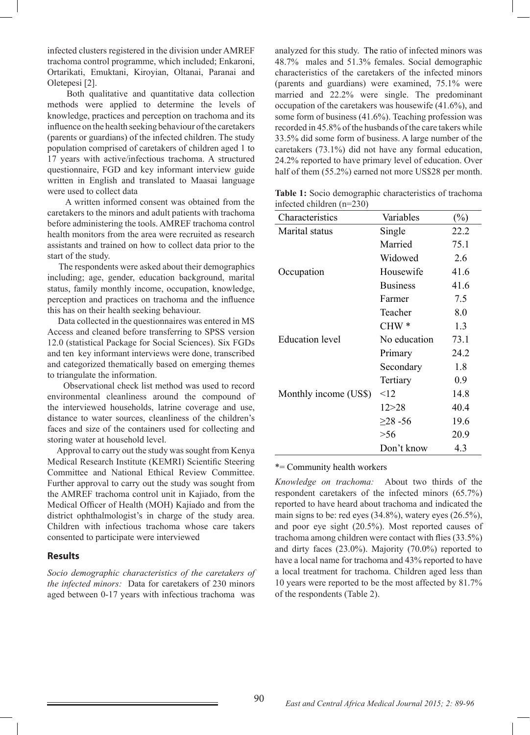infected clusters registered in the division under AMREF trachoma control programme, which included; Enkaroni, Ortarikati, Emuktani, Kiroyian, Oltanai, Paranai and Oletepesi [2].

 Both qualitative and quantitative data collection methods were applied to determine the levels of knowledge, practices and perception on trachoma and its influence on the health seeking behaviour of the caretakers (parents or guardians) of the infected children. The study population comprised of caretakers of children aged 1 to 17 years with active/infectious trachoma. A structured questionnaire, FGD and key informant interview guide written in English and translated to Maasai language were used to collect data

 A written informed consent was obtained from the caretakers to the minors and adult patients with trachoma before administering the tools. AMREF trachoma control health monitors from the area were recruited as research assistants and trained on how to collect data prior to the start of the study.

 The respondents were asked about their demographics including; age, gender, education background, marital status, family monthly income, occupation, knowledge, perception and practices on trachoma and the influence this has on their health seeking behaviour.

 Data collected in the questionnaires was entered in MS Access and cleaned before transferring to SPSS version 12.0 (statistical Package for Social Sciences). Six FGDs and ten key informant interviews were done, transcribed and categorized thematically based on emerging themes to triangulate the information.

 Observational check list method was used to record environmental cleanliness around the compound of the interviewed households, latrine coverage and use, distance to water sources, cleanliness of the children's faces and size of the containers used for collecting and storing water at household level.

 Approval to carry out the study was sought from Kenya Medical Research Institute (KEMRI) Scientific Steering Committee and National Ethical Review Committee. Further approval to carry out the study was sought from the AMREF trachoma control unit in Kajiado, from the Medical Officer of Health (MOH) Kajiado and from the district ophthalmologist's in charge of the study area. Children with infectious trachoma whose care takers consented to participate were interviewed

#### **Results**

*Socio demographic characteristics of the caretakers of the infected minors:* Data for caretakers of 230 minors aged between 0-17 years with infectious trachoma was

analyzed for this study. The ratio of infected minors was 48.7% males and 51.3% females. Social demographic characteristics of the caretakers of the infected minors (parents and guardians) were examined, 75.1% were married and 22.2% were single. The predominant occupation of the caretakers was housewife (41.6%), and some form of business (41.6%). Teaching profession was recorded in 45.8% of the husbands of the care takers while 33.5% did some form of business. A large number of the caretakers (73.1%) did not have any formal education, 24.2% reported to have primary level of education. Over half of them  $(55.2\%)$  earned not more US\$28 per month.

**Table 1:** Socio demographic characteristics of trachoma infected children (n=230)

| Characteristics       | Variables       | $\binom{0}{0}$ |
|-----------------------|-----------------|----------------|
| Marital status        | Single          | 22.2           |
|                       | Married         | 75.1           |
|                       | Widowed         | 2.6            |
| Occupation            | Housewife       | 41.6           |
|                       | <b>Business</b> | 41.6           |
|                       | Farmer          | 7.5            |
|                       | Teacher         | 8.0            |
|                       | $CHW*$          | 1.3            |
| Education level       | No education    | 73.1           |
|                       | Primary         | 24.2           |
|                       | Secondary       | 1.8            |
|                       | Tertiary        | 0.9            |
| Monthly income (US\$) | $\leq$ 12       | 14.8           |
|                       | 12 > 28         | 40.4           |
|                       | $\geq$ 28 -56   | 19.6           |
|                       | > 56            | 20.9           |
|                       | Don't know      | 4.3            |

\*= Community health workers

*Knowledge on trachoma:* About two thirds of the respondent caretakers of the infected minors (65.7%) reported to have heard about trachoma and indicated the main signs to be: red eyes (34.8%), watery eyes (26.5%), and poor eye sight (20.5%). Most reported causes of trachoma among children were contact with flies (33.5%) and dirty faces (23.0%). Majority (70.0%) reported to have a local name for trachoma and 43% reported to have a local treatment for trachoma. Children aged less than 10 years were reported to be the most affected by 81.7% of the respondents (Table 2).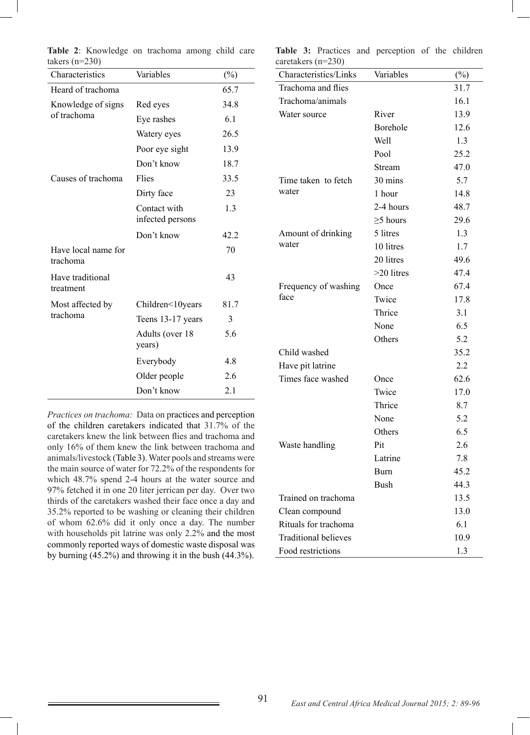| Variables                        | $(\%)$ |
|----------------------------------|--------|
|                                  | 65.7   |
| Red eyes                         | 34.8   |
| Eye rashes                       | 6.1    |
| Watery eyes                      | 26.5   |
| Poor eye sight                   | 13.9   |
| Don't know                       | 18.7   |
| Flies                            | 33.5   |
| Dirty face                       | 23     |
| Contact with<br>infected persons | 1.3    |
| Don't know                       | 42.2   |
|                                  | 70     |
|                                  | 43     |
| Children<10years                 | 81.7   |
| Teens 13-17 years                | 3      |
| Adults (over 18<br>years)        | 5.6    |
| Everybody                        | 4.8    |
| Older people                     | 2.6    |
| Don't know                       | 2.1    |
|                                  |        |

**Table 2**: Knowledge on trachoma among child care takers  $(n=230)$ 

*Practices on trachoma:* Data on practices and perception of the children caretakers indicated that 31.7% of the caretakers knew the link between flies and trachoma and only 16% of them knew the link between trachoma and animals/livestock (Table 3). Water pools and streams were the main source of water for 72.2% of the respondents for which 48.7% spend 2-4 hours at the water source and 97% fetched it in one 20 liter jerrican per day. Over two thirds of the caretakers washed their face once a day and 35.2% reported to be washing or cleaning their children of whom 62.6% did it only once a day. The number with households pit latrine was only 2.2% and the most commonly reported ways of domestic waste disposal was by burning (45.2%) and throwing it in the bush (44.3%).

**Table 3:** Practices and perception of the children  $corotolcore (n=220)$ 

| $caieiakeis (n-230)$        |                |        |
|-----------------------------|----------------|--------|
| Characteristics/Links       | Variables      | $(\%)$ |
| Trachoma and flies          |                | 31.7   |
| Trachoma/animals            |                | 16.1   |
| Water source                | River          | 13.9   |
|                             | Borehole       | 12.6   |
|                             | Well           | 1.3    |
|                             | Pool           | 25.2   |
|                             | Stream         | 47.0   |
| Time taken to fetch         | 30 mins        | 5.7    |
| water                       | 1 hour         | 14.8   |
|                             | 2-4 hours      | 48.7   |
|                             | $\geq$ 5 hours | 29.6   |
| Amount of drinking          | 5 litres       | 1.3    |
| water                       | 10 litres      | 1.7    |
|                             | 20 litres      | 49.6   |
|                             | >20 litres     | 47.4   |
| Frequency of washing        | Once           | 67.4   |
| face                        | Twice          | 17.8   |
|                             | Thrice         | 3.1    |
|                             | None           | 6.5    |
|                             | Others         | 5.2    |
| Child washed                |                | 35.2   |
| Have pit latrine            |                | 2.2    |
| Times face washed           | Once           | 62.6   |
|                             | Twice          | 17.0   |
|                             | Thrice         | 8.7    |
|                             | None           | 5.2    |
|                             | Others         | 6.5    |
| Waste handling              | Pit            | 2.6    |
|                             | Latrine        | 7.8    |
|                             | <b>Burn</b>    | 45.2   |
|                             | <b>Bush</b>    | 44.3   |
| Trained on trachoma         |                | 13.5   |
| Clean compound              |                | 13.0   |
| Rituals for trachoma        |                | 6.1    |
| <b>Traditional believes</b> |                | 10.9   |
| Food restrictions           |                | 1.3    |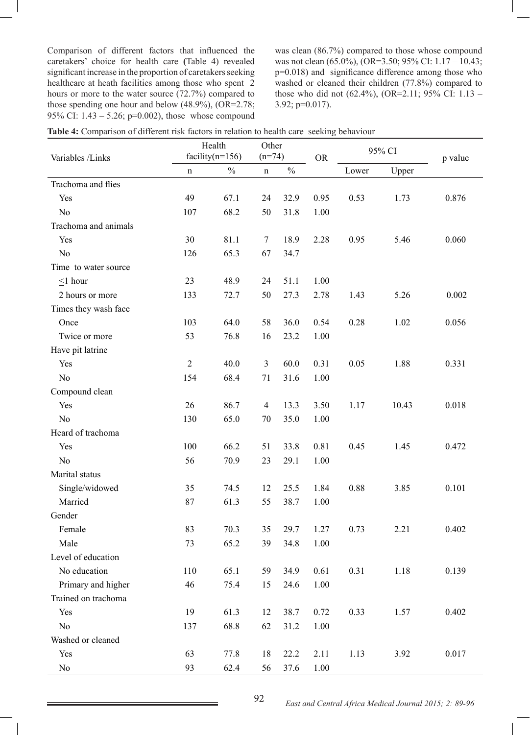Comparison of different factors that influenced the caretakers' choice for health care **(**Table 4) revealed significant increase in the proportion of caretakers seeking healthcare at heath facilities among those who spent 2 hours or more to the water source (72.7%) compared to those spending one hour and below (48.9%), (OR=2.78; 95% CI: 1.43 – 5.26; p=0.002), those whose compound

was clean (86.7%) compared to those whose compound was not clean (65.0%), (OR=3.50; 95% CI: 1.17 – 10.43; p=0.018) and significance difference among those who washed or cleaned their children (77.8%) compared to those who did not (62.4%), (OR=2.11; 95% CI: 1.13 – 3.92; p=0.017).

|                      | Health              |               | Other          |               |           | 95% CI |       |         |
|----------------------|---------------------|---------------|----------------|---------------|-----------|--------|-------|---------|
| Variables /Links     | facility( $n=156$ ) |               | $(n=74)$       |               | <b>OR</b> |        |       | p value |
|                      | n                   | $\frac{0}{0}$ | $\mathbf n$    | $\frac{0}{0}$ |           | Lower  | Upper |         |
| Trachoma and flies   |                     |               |                |               |           |        |       |         |
| Yes                  | 49                  | 67.1          | 24             | 32.9          | 0.95      | 0.53   | 1.73  | 0.876   |
| N <sub>o</sub>       | 107                 | 68.2          | 50             | 31.8          | 1.00      |        |       |         |
| Trachoma and animals |                     |               |                |               |           |        |       |         |
| Yes                  | 30                  | 81.1          | $\overline{7}$ | 18.9          | 2.28      | 0.95   | 5.46  | 0.060   |
| N <sub>o</sub>       | 126                 | 65.3          | 67             | 34.7          |           |        |       |         |
| Time to water source |                     |               |                |               |           |        |       |         |
| $\leq$ 1 hour        | 23                  | 48.9          | 24             | 51.1          | 1.00      |        |       |         |
| 2 hours or more      | 133                 | 72.7          | 50             | 27.3          | 2.78      | 1.43   | 5.26  | 0.002   |
| Times they wash face |                     |               |                |               |           |        |       |         |
| Once                 | 103                 | 64.0          | 58             | 36.0          | 0.54      | 0.28   | 1.02  | 0.056   |
| Twice or more        | 53                  | 76.8          | 16             | 23.2          | 1.00      |        |       |         |
| Have pit latrine     |                     |               |                |               |           |        |       |         |
| Yes                  | $\sqrt{2}$          | 40.0          | $\overline{3}$ | 60.0          | 0.31      | 0.05   | 1.88  | 0.331   |
| N <sub>o</sub>       | 154                 | 68.4          | 71             | 31.6          | 1.00      |        |       |         |
| Compound clean       |                     |               |                |               |           |        |       |         |
| Yes                  | 26                  | 86.7          | $\overline{4}$ | 13.3          | 3.50      | 1.17   | 10.43 | 0.018   |
| N <sub>o</sub>       | 130                 | 65.0          | 70             | 35.0          | 1.00      |        |       |         |
| Heard of trachoma    |                     |               |                |               |           |        |       |         |
| Yes                  | 100                 | 66.2          | 51             | 33.8          | 0.81      | 0.45   | 1.45  | 0.472   |
| N <sub>o</sub>       | 56                  | 70.9          | 23             | 29.1          | 1.00      |        |       |         |
| Marital status       |                     |               |                |               |           |        |       |         |
| Single/widowed       | 35                  | 74.5          | 12             | 25.5          | 1.84      | 0.88   | 3.85  | 0.101   |
| Married              | 87                  | 61.3          | 55             | 38.7          | 1.00      |        |       |         |
| Gender               |                     |               |                |               |           |        |       |         |
| Female               | 83                  | 70.3          | 35             | 29.7          | 1.27      | 0.73   | 2.21  | 0.402   |
| Male                 | 73                  | 65.2          | 39             | 34.8          | 1.00      |        |       |         |
| Level of education   |                     |               |                |               |           |        |       |         |
| No education         | 110                 | 65.1          | 59             | 34.9          | 0.61      | 0.31   | 1.18  | 0.139   |
| Primary and higher   | 46                  | 75.4          | 15             | 24.6          | 1.00      |        |       |         |
| Trained on trachoma  |                     |               |                |               |           |        |       |         |
| Yes                  | 19                  | 61.3          | 12             | 38.7          | 0.72      | 0.33   | 1.57  | 0.402   |
| N <sub>0</sub>       | 137                 | 68.8          | 62             | 31.2          | 1.00      |        |       |         |
| Washed or cleaned    |                     |               |                |               |           |        |       |         |
| Yes                  | 63                  | 77.8          | 18             | 22.2          | 2.11      | 1.13   | 3.92  | 0.017   |
| No                   | 93                  | 62.4          | 56             | 37.6          | 1.00      |        |       |         |

| Table 4: Comparison of different risk factors in relation to health care seeking behaviour |  |  |  |  |  |  |  |
|--------------------------------------------------------------------------------------------|--|--|--|--|--|--|--|
|--------------------------------------------------------------------------------------------|--|--|--|--|--|--|--|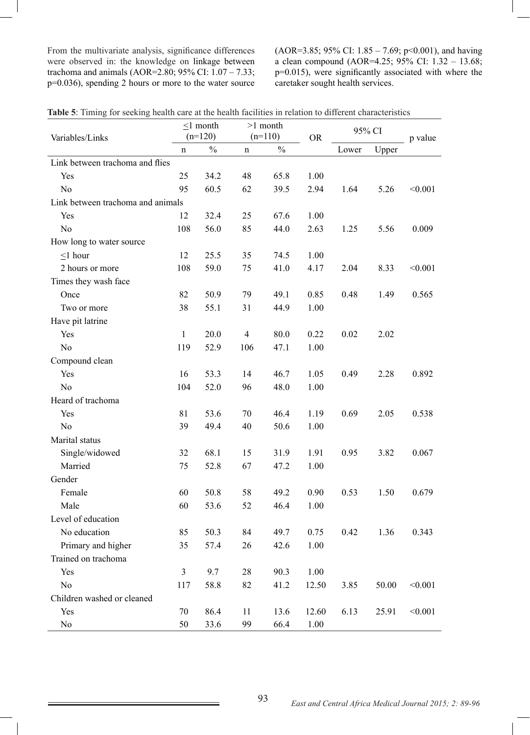From the multivariate analysis, significance differences were observed in: the knowledge on linkage between trachoma and animals (AOR=2.80; 95% CI:  $1.07 - 7.33$ ; p=0.036), spending 2 hours or more to the water source (AOR=3.85; 95% CI: 1.85 – 7.69; p<0.001), and having a clean compound (AOR=4.25; 95% CI: 1.32 – 13.68; p=0.015), were significantly associated with where the caretaker sought health services.

|                                   | $<1$ month   |               | $>1$ month     |               |           | 95% CI |       | p value |
|-----------------------------------|--------------|---------------|----------------|---------------|-----------|--------|-------|---------|
| Variables/Links                   | $(n=120)$    |               | $(n=110)$      |               | <b>OR</b> |        |       |         |
|                                   | $\mathbf n$  | $\frac{0}{0}$ | $\mathbf n$    | $\frac{0}{0}$ |           | Lower  | Upper |         |
| Link between trachoma and flies   |              |               |                |               |           |        |       |         |
| Yes                               | 25           | 34.2          | 48             | 65.8          | 1.00      |        |       |         |
| N <sub>0</sub>                    | 95           | 60.5          | 62             | 39.5          | 2.94      | 1.64   | 5.26  | < 0.001 |
| Link between trachoma and animals |              |               |                |               |           |        |       |         |
| Yes                               | 12           | 32.4          | 25             | 67.6          | 1.00      |        |       |         |
| N <sub>0</sub>                    | 108          | 56.0          | 85             | 44.0          | 2.63      | 1.25   | 5.56  | 0.009   |
| How long to water source          |              |               |                |               |           |        |       |         |
| $\leq$ 1 hour                     | 12           | 25.5          | 35             | 74.5          | 1.00      |        |       |         |
| 2 hours or more                   | 108          | 59.0          | 75             | 41.0          | 4.17      | 2.04   | 8.33  | < 0.001 |
| Times they wash face              |              |               |                |               |           |        |       |         |
| Once                              | 82           | 50.9          | 79             | 49.1          | 0.85      | 0.48   | 1.49  | 0.565   |
| Two or more                       | 38           | 55.1          | 31             | 44.9          | 1.00      |        |       |         |
| Have pit latrine                  |              |               |                |               |           |        |       |         |
| Yes                               | $\mathbf{1}$ | 20.0          | $\overline{4}$ | 80.0          | 0.22      | 0.02   | 2.02  |         |
| N <sub>0</sub>                    | 119          | 52.9          | 106            | 47.1          | 1.00      |        |       |         |
| Compound clean                    |              |               |                |               |           |        |       |         |
| Yes                               | 16           | 53.3          | 14             | 46.7          | 1.05      | 0.49   | 2.28  | 0.892   |
| N <sub>0</sub>                    | 104          | 52.0          | 96             | 48.0          | 1.00      |        |       |         |
| Heard of trachoma                 |              |               |                |               |           |        |       |         |
| Yes                               | 81           | 53.6          | 70             | 46.4          | 1.19      | 0.69   | 2.05  | 0.538   |
| N <sub>0</sub>                    | 39           | 49.4          | 40             | 50.6          | 1.00      |        |       |         |
| Marital status                    |              |               |                |               |           |        |       |         |
| Single/widowed                    | 32           | 68.1          | 15             | 31.9          | 1.91      | 0.95   | 3.82  | 0.067   |
| Married                           | 75           | 52.8          | 67             | 47.2          | 1.00      |        |       |         |
| Gender                            |              |               |                |               |           |        |       |         |
| Female                            | 60           | 50.8          | 58             | 49.2          | 0.90      | 0.53   | 1.50  | 0.679   |
| Male                              | 60           | 53.6          | 52             | 46.4          | 1.00      |        |       |         |
| Level of education                |              |               |                |               |           |        |       |         |
| No education                      | 85           | 50.3          | 84             | 49.7          | 0.75      | 0.42   | 1.36  | 0.343   |
| Primary and higher                | 35           | 57.4          | 26             | 42.6          | 1.00      |        |       |         |
| Trained on trachoma               |              |               |                |               |           |        |       |         |
| Yes                               | 3            | 9.7           | 28             | 90.3          | 1.00      |        |       |         |
| N <sub>0</sub>                    | 117          | 58.8          | 82             | 41.2          | 12.50     | 3.85   | 50.00 | < 0.001 |
| Children washed or cleaned        |              |               |                |               |           |        |       |         |
| Yes                               | 70           | 86.4          | 11             | 13.6          | 12.60     | 6.13   | 25.91 | < 0.001 |
| No                                | 50           | 33.6          | 99             | 66.4          | 1.00      |        |       |         |

**Table 5**: Timing for seeking health care at the health facilities in relation to different characteristics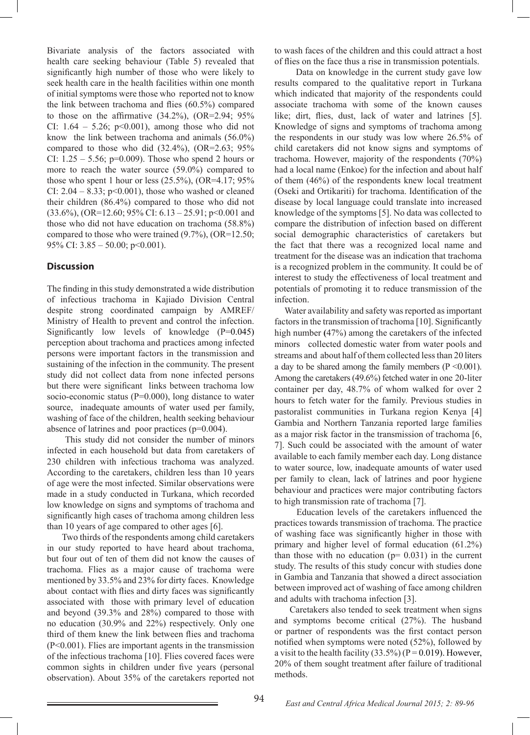Bivariate analysis of the factors associated with health care seeking behaviour (Table 5) revealed that significantly high number of those who were likely to seek health care in the health facilities within one month of initial symptoms were those who reported not to know the link between trachoma and flies (60.5%) compared to those on the affirmative  $(34.2\%)$ ,  $(OR=2.94; 95\%)$ CI:  $1.64 - 5.26$ ;  $p<0.001$ ), among those who did not know the link between trachoma and animals (56.0%) compared to those who did  $(32.4\%)$ ,  $(OR=2.63; 95\%)$ CI:  $1.25 - 5.56$ ; p=0.009). Those who spend 2 hours or more to reach the water source (59.0%) compared to those who spent 1 hour or less  $(25.5\%)$ ,  $(OR=4.17; 95\%)$ CI:  $2.04 - 8.33$ ; p<0.001), those who washed or cleaned their children (86.4%) compared to those who did not  $(33.6\%)$ ,  $(OR=12.60; 95\% \text{ CI}$ : 6.13 – 25.91; p<0.001 and those who did not have education on trachoma (58.8%) compared to those who were trained (9.7%), (OR=12.50; 95% CI:  $3.85 - 50.00$ ; p < 0.001).

# **Discussion**

The finding in this study demonstrated a wide distribution of infectious trachoma in Kajiado Division Central despite strong coordinated campaign by AMREF/ Ministry of Health to prevent and control the infection. Significantly low levels of knowledge (P=0.045) perception about trachoma and practices among infected persons were important factors in the transmission and sustaining of the infection in the community. The present study did not collect data from none infected persons but there were significant links between trachoma low socio-economic status (P=0.000), long distance to water source, inadequate amounts of water used per family, washing of face of the children, health seeking behaviour absence of latrines and poor practices (p=0.004).

 This study did not consider the number of minors infected in each household but data from caretakers of 230 children with infectious trachoma was analyzed. According to the caretakers, children less than 10 years of age were the most infected. Similar observations were made in a study conducted in Turkana, which recorded low knowledge on signs and symptoms of trachoma and significantly high cases of trachoma among children less than 10 years of age compared to other ages [6].

 Two thirds of the respondents among child caretakers in our study reported to have heard about trachoma, but four out of ten of them did not know the causes of trachoma. Flies as a major cause of trachoma were mentioned by 33.5% and 23% for dirty faces. Knowledge about contact with flies and dirty faces was significantly associated with those with primary level of education and beyond (39.3% and 28%) compared to those with no education (30.9% and 22%) respectively. Only one third of them knew the link between flies and trachoma (P<0.001). Flies are important agents in the transmission of the infectious trachoma [10]. Flies covered faces were common sights in children under five years (personal observation). About 35% of the caretakers reported not

to wash faces of the children and this could attract a host of flies on the face thus a rise in transmission potentials.

 Data on knowledge in the current study gave low results compared to the qualitative report in Turkana which indicated that majority of the respondents could associate trachoma with some of the known causes like; dirt, flies, dust, lack of water and latrines [5]. Knowledge of signs and symptoms of trachoma among the respondents in our study was low where 26.5% of child caretakers did not know signs and symptoms of trachoma. However, majority of the respondents (70%) had a local name (Enkoe) for the infection and about half of them (46%) of the respondents knew local treatment (Oseki and Ortikariti) for trachoma. Identification of the disease by local language could translate into increased knowledge of the symptoms [5]. No data was collected to compare the distribution of infection based on different social demographic characteristics of caretakers but the fact that there was a recognized local name and treatment for the disease was an indication that trachoma is a recognized problem in the community. It could be of interest to study the effectiveness of local treatment and potentials of promoting it to reduce transmission of the infection.

 Water availability and safety was reported as important factors in the transmission of trachoma [10]. Significantly high number **(**47%) among the caretakers of the infected minors collected domestic water from water pools and streams and about half of them collected less than 20 liters a day to be shared among the family members  $(P \le 0.001)$ . Among the caretakers (49.6%) fetched water in one 20-liter container per day, 48.7% of whom walked for over 2 hours to fetch water for the family. Previous studies in pastoralist communities in Turkana region Kenya [4] Gambia and Northern Tanzania reported large families as a major risk factor in the transmission of trachoma [6, 7]. Such could be associated with the amount of water available to each family member each day. Long distance to water source, low, inadequate amounts of water used per family to clean, lack of latrines and poor hygiene behaviour and practices were major contributing factors to high transmission rate of trachoma [7].

 Education levels of the caretakers influenced the practices towards transmission of trachoma. The practice of washing face was significantly higher in those with primary and higher level of formal education (61.2%) than those with no education  $(p= 0.031)$  in the current study. The results of this study concur with studies done in Gambia and Tanzania that showed a direct association between improved act of washing of face among children and adults with trachoma infection [3].

 Caretakers also tended to seek treatment when signs and symptoms become critical (27%). The husband or partner of respondents was the first contact person notified when symptoms were noted (52%), followed by a visit to the health facility  $(33.5\%)$  (P = 0.019). However, 20% of them sought treatment after failure of traditional methods.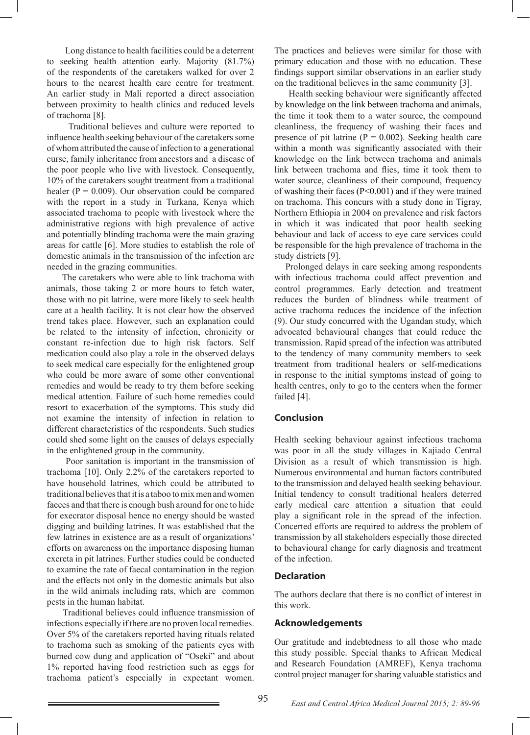Long distance to health facilities could be a deterrent to seeking health attention early. Majority (81.7%) of the respondents of the caretakers walked for over 2 hours to the nearest health care centre for treatment. An earlier study in Mali reported a direct association between proximity to health clinics and reduced levels of trachoma [8].

 Traditional believes and culture were reported to influence health seeking behaviour of the caretakers some of whom attributed the cause of infection to a generational curse, family inheritance from ancestors and a disease of the poor people who live with livestock. Consequently, 10% of the caretakers sought treatment from a traditional healer ( $P = 0.009$ ). Our observation could be compared with the report in a study in Turkana, Kenya which associated trachoma to people with livestock where the administrative regions with high prevalence of active and potentially blinding trachoma were the main grazing areas for cattle [6]. More studies to establish the role of domestic animals in the transmission of the infection are needed in the grazing communities.

 The caretakers who were able to link trachoma with animals, those taking 2 or more hours to fetch water, those with no pit latrine, were more likely to seek health care at a health facility. It is not clear how the observed trend takes place. However, such an explanation could be related to the intensity of infection, chronicity or constant re-infection due to high risk factors. Self medication could also play a role in the observed delays to seek medical care especially for the enlightened group who could be more aware of some other conventional remedies and would be ready to try them before seeking medical attention. Failure of such home remedies could resort to exacerbation of the symptoms. This study did not examine the intensity of infection in relation to different characteristics of the respondents. Such studies could shed some light on the causes of delays especially in the enlightened group in the community.

 Poor sanitation is important in the transmission of trachoma [10]. Only 2.2% of the caretakers reported to have household latrines, which could be attributed to traditional believes that it is a taboo to mix men and women faeces and that there is enough bush around for one to hide for execrator disposal hence no energy should be wasted digging and building latrines. It was established that the few latrines in existence are as a result of organizations' efforts on awareness on the importance disposing human excreta in pit latrines. Further studies could be conducted to examine the rate of faecal contamination in the region and the effects not only in the domestic animals but also in the wild animals including rats, which are common pests in the human habitat.

 Traditional believes could influence transmission of infections especially if there are no proven local remedies. Over 5% of the caretakers reported having rituals related to trachoma such as smoking of the patients eyes with burned cow dung and application of "Oseki" and about 1% reported having food restriction such as eggs for trachoma patient's especially in expectant women.

The practices and believes were similar for those with primary education and those with no education. These findings support similar observations in an earlier study on the traditional believes in the same community [3].

 Health seeking behaviour were significantly affected by knowledge on the link between trachoma and animals, the time it took them to a water source, the compound cleanliness, the frequency of washing their faces and presence of pit latrine ( $P = 0.002$ ). Seeking health care within a month was significantly associated with their knowledge on the link between trachoma and animals link between trachoma and flies, time it took them to water source, cleanliness of their compound, frequency of washing their faces (P<0.001) and if they were trained on trachoma. This concurs with a study done in Tigray, Northern Ethiopia in 2004 on prevalence and risk factors in which it was indicated that poor health seeking behaviour and lack of access to eye care services could be responsible for the high prevalence of trachoma in the study districts [9].

 Prolonged delays in care seeking among respondents with infectious trachoma could affect prevention and control programmes. Early detection and treatment reduces the burden of blindness while treatment of active trachoma reduces the incidence of the infection (9). Our study concurred with the Ugandan study, which advocated behavioural changes that could reduce the transmission. Rapid spread of the infection was attributed to the tendency of many community members to seek treatment from traditional healers or self-medications in response to the initial symptoms instead of going to health centres, only to go to the centers when the former failed [4].

#### **Conclusion**

Health seeking behaviour against infectious trachoma was poor in all the study villages in Kajiado Central Division as a result of which transmission is high. Numerous environmental and human factors contributed to the transmission and delayed health seeking behaviour. Initial tendency to consult traditional healers deterred early medical care attention a situation that could play a significant role in the spread of the infection. Concerted efforts are required to address the problem of transmission by all stakeholders especially those directed to behavioural change for early diagnosis and treatment of the infection.

#### **Declaration**

The authors declare that there is no conflict of interest in this work.

#### **Acknowledgements**

Our gratitude and indebtedness to all those who made this study possible. Special thanks to African Medical and Research Foundation (AMREF), Kenya trachoma control project manager for sharing valuable statistics and